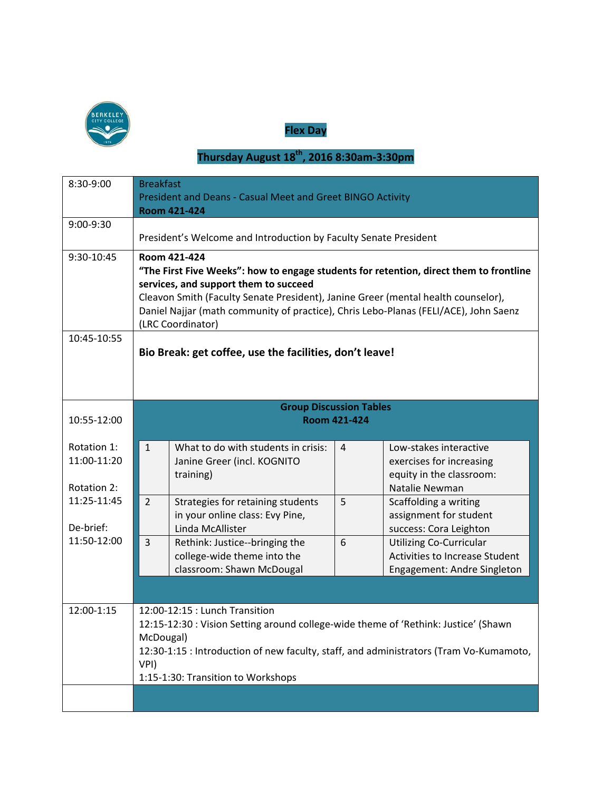

**Flex Day**

## **Thursday August 18th, 2016 8:30am-3:30pm**

| 8:30-9:00                                 | <b>Breakfast</b><br>President and Deans - Casual Meet and Greet BINGO Activity<br><b>Room 421-424</b>                                                                                                                                                                                                                                             |                                                                                            |                |                                                                                                        |  |  |  |  |  |
|-------------------------------------------|---------------------------------------------------------------------------------------------------------------------------------------------------------------------------------------------------------------------------------------------------------------------------------------------------------------------------------------------------|--------------------------------------------------------------------------------------------|----------------|--------------------------------------------------------------------------------------------------------|--|--|--|--|--|
| 9:00-9:30                                 | President's Welcome and Introduction by Faculty Senate President                                                                                                                                                                                                                                                                                  |                                                                                            |                |                                                                                                        |  |  |  |  |  |
| 9:30-10:45                                | Room 421-424<br>"The First Five Weeks": how to engage students for retention, direct them to frontline<br>services, and support them to succeed<br>Cleavon Smith (Faculty Senate President), Janine Greer (mental health counselor),<br>Daniel Najjar (math community of practice), Chris Lebo-Planas (FELI/ACE), John Saenz<br>(LRC Coordinator) |                                                                                            |                |                                                                                                        |  |  |  |  |  |
| 10:45-10:55                               | Bio Break: get coffee, use the facilities, don't leave!                                                                                                                                                                                                                                                                                           |                                                                                            |                |                                                                                                        |  |  |  |  |  |
| 10:55-12:00                               | <b>Group Discussion Tables</b><br><b>Room 421-424</b>                                                                                                                                                                                                                                                                                             |                                                                                            |                |                                                                                                        |  |  |  |  |  |
| Rotation 1:<br>11:00-11:20<br>Rotation 2: | $\mathbf{1}$                                                                                                                                                                                                                                                                                                                                      | What to do with students in crisis:<br>Janine Greer (incl. KOGNITO<br>training)            | $\overline{4}$ | Low-stakes interactive<br>exercises for increasing<br>equity in the classroom:<br>Natalie Newman       |  |  |  |  |  |
| 11:25-11:45<br>De-brief:                  | $2^{\circ}$                                                                                                                                                                                                                                                                                                                                       | Strategies for retaining students<br>in your online class: Evy Pine,<br>Linda McAllister   | 5              | Scaffolding a writing<br>assignment for student<br>success: Cora Leighton                              |  |  |  |  |  |
| 11:50-12:00                               | 3                                                                                                                                                                                                                                                                                                                                                 | Rethink: Justice--bringing the<br>college-wide theme into the<br>classroom: Shawn McDougal | 6              | <b>Utilizing Co-Curricular</b><br><b>Activities to Increase Student</b><br>Engagement: Andre Singleton |  |  |  |  |  |
| 12:00-1:15                                | 12:00-12:15 : Lunch Transition<br>12:15-12:30 : Vision Setting around college-wide theme of 'Rethink: Justice' (Shawn<br>McDougal)<br>12:30-1:15 : Introduction of new faculty, staff, and administrators (Tram Vo-Kumamoto,<br>VPI)<br>1:15-1:30: Transition to Workshops                                                                        |                                                                                            |                |                                                                                                        |  |  |  |  |  |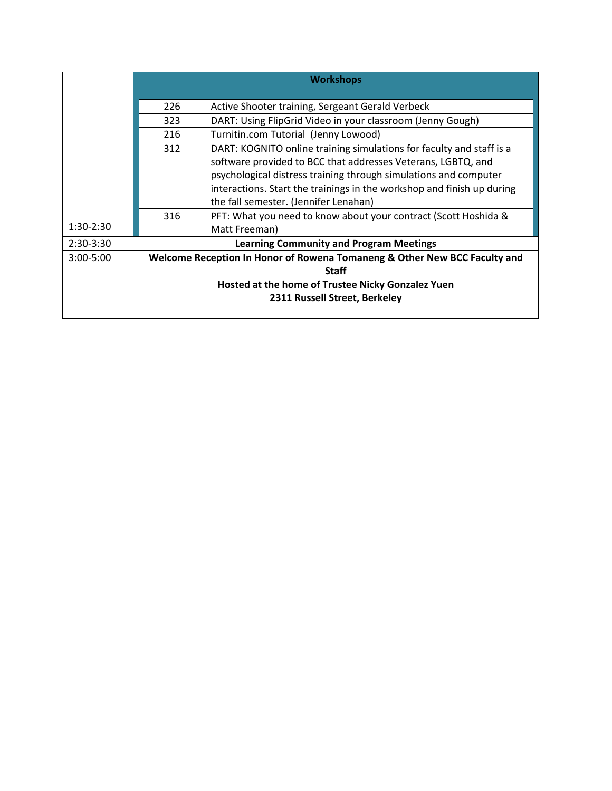|               | <b>Workshops</b>                                                          |                                                                                                                                                                                                                                                                                                                                                                                                |  |  |  |  |  |  |
|---------------|---------------------------------------------------------------------------|------------------------------------------------------------------------------------------------------------------------------------------------------------------------------------------------------------------------------------------------------------------------------------------------------------------------------------------------------------------------------------------------|--|--|--|--|--|--|
|               | 226                                                                       | Active Shooter training, Sergeant Gerald Verbeck                                                                                                                                                                                                                                                                                                                                               |  |  |  |  |  |  |
|               | 323                                                                       | DART: Using FlipGrid Video in your classroom (Jenny Gough)                                                                                                                                                                                                                                                                                                                                     |  |  |  |  |  |  |
|               | 216                                                                       | Turnitin.com Tutorial (Jenny Lowood)                                                                                                                                                                                                                                                                                                                                                           |  |  |  |  |  |  |
|               | 312<br>316                                                                | DART: KOGNITO online training simulations for faculty and staff is a<br>software provided to BCC that addresses Veterans, LGBTQ, and<br>psychological distress training through simulations and computer<br>interactions. Start the trainings in the workshop and finish up during<br>the fall semester. (Jennifer Lenahan)<br>PFT: What you need to know about your contract (Scott Hoshida & |  |  |  |  |  |  |
| $1:30-2:30$   |                                                                           | Matt Freeman)                                                                                                                                                                                                                                                                                                                                                                                  |  |  |  |  |  |  |
| $2:30-3:30$   | <b>Learning Community and Program Meetings</b>                            |                                                                                                                                                                                                                                                                                                                                                                                                |  |  |  |  |  |  |
| $3:00 - 5:00$ | Welcome Reception In Honor of Rowena Tomaneng & Other New BCC Faculty and |                                                                                                                                                                                                                                                                                                                                                                                                |  |  |  |  |  |  |
|               | Staff<br>Hosted at the home of Trustee Nicky Gonzalez Yuen                |                                                                                                                                                                                                                                                                                                                                                                                                |  |  |  |  |  |  |
|               |                                                                           |                                                                                                                                                                                                                                                                                                                                                                                                |  |  |  |  |  |  |
|               | 2311 Russell Street, Berkeley                                             |                                                                                                                                                                                                                                                                                                                                                                                                |  |  |  |  |  |  |
|               |                                                                           |                                                                                                                                                                                                                                                                                                                                                                                                |  |  |  |  |  |  |